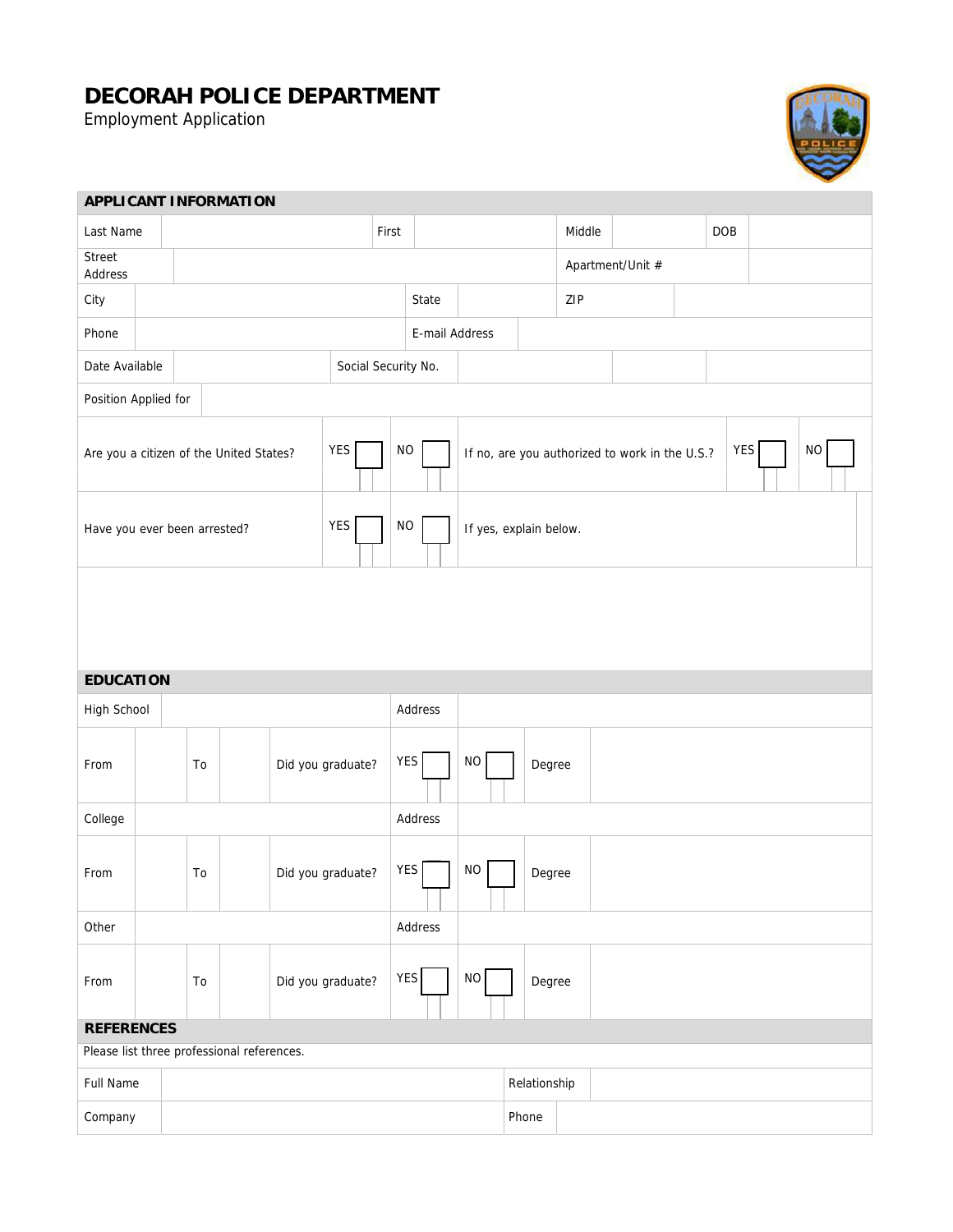## **DECORAH POLICE DEPARTMENT**

Employment Application



| <b>APPLICANT INFORMATION</b>                   |                         |    |                                            |                          |                |                                                                   |          |        |        |              |                  |  |  |     |  |
|------------------------------------------------|-------------------------|----|--------------------------------------------|--------------------------|----------------|-------------------------------------------------------------------|----------|--------|--------|--------------|------------------|--|--|-----|--|
| Last Name                                      |                         |    |                                            |                          |                | First                                                             |          |        |        |              | Middle           |  |  | DOB |  |
| Street<br>Address                              |                         |    |                                            |                          |                |                                                                   |          |        |        |              | Apartment/Unit # |  |  |     |  |
| City                                           |                         |    |                                            |                          |                |                                                                   | State    |        |        |              | ZIP              |  |  |     |  |
| Phone                                          |                         |    |                                            |                          | E-mail Address |                                                                   |          |        |        |              |                  |  |  |     |  |
| Date Available                                 |                         |    | Social Security No.                        |                          |                |                                                                   |          |        |        |              |                  |  |  |     |  |
| Position Applied for                           |                         |    |                                            |                          |                |                                                                   |          |        |        |              |                  |  |  |     |  |
| YES<br>Are you a citizen of the United States? |                         |    |                                            | <b>NO</b>                |                | YES<br>$\rm NO$<br>If no, are you authorized to work in the U.S.? |          |        |        |              |                  |  |  |     |  |
| YES<br>Have you ever been arrested?            |                         |    |                                            | $NO$                     |                | If yes, explain below.                                            |          |        |        |              |                  |  |  |     |  |
|                                                |                         |    |                                            |                          |                |                                                                   |          |        |        |              |                  |  |  |     |  |
| <b>EDUCATION</b>                               |                         |    |                                            |                          |                |                                                                   |          |        |        |              |                  |  |  |     |  |
| High School                                    |                         |    |                                            | Address                  |                |                                                                   |          |        |        |              |                  |  |  |     |  |
| From                                           | To                      |    |                                            | YES<br>Did you graduate? |                |                                                                   | $\rm NO$ |        | Degree |              |                  |  |  |     |  |
| College                                        |                         |    |                                            |                          |                | Address                                                           |          |        |        |              |                  |  |  |     |  |
| From                                           | Did you graduate?<br>To |    |                                            | <b>YES</b>               |                | <b>NO</b>                                                         | Degree   |        |        |              |                  |  |  |     |  |
| Other                                          |                         |    |                                            |                          |                | Address                                                           |          |        |        |              |                  |  |  |     |  |
| From                                           |                         | To |                                            | Did you graduate?        | <b>YES</b>     |                                                                   | NO       | Degree |        |              |                  |  |  |     |  |
| <b>REFERENCES</b>                              |                         |    |                                            |                          |                |                                                                   |          |        |        |              |                  |  |  |     |  |
|                                                |                         |    | Please list three professional references. |                          |                |                                                                   |          |        |        |              |                  |  |  |     |  |
| Full Name                                      |                         |    |                                            |                          |                |                                                                   |          |        |        | Relationship |                  |  |  |     |  |
| Company                                        |                         |    |                                            |                          |                |                                                                   |          |        |        | Phone        |                  |  |  |     |  |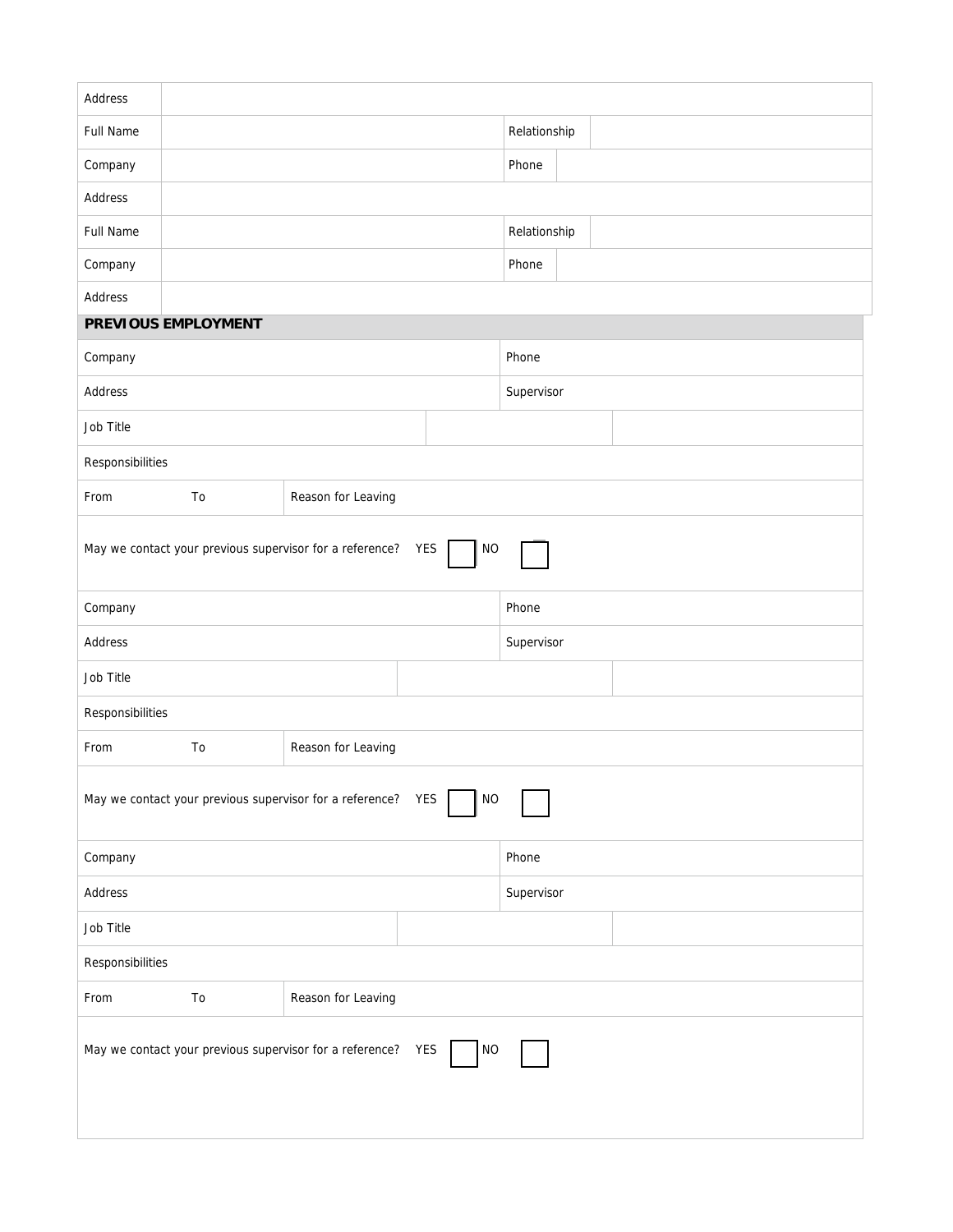| Address                                                                   |                     |                    |            |              |  |  |  |  |  |
|---------------------------------------------------------------------------|---------------------|--------------------|------------|--------------|--|--|--|--|--|
| <b>Full Name</b>                                                          |                     |                    |            | Relationship |  |  |  |  |  |
| Company                                                                   |                     |                    |            | Phone        |  |  |  |  |  |
| Address                                                                   |                     |                    |            |              |  |  |  |  |  |
| Full Name                                                                 |                     |                    |            | Relationship |  |  |  |  |  |
| Company                                                                   |                     |                    |            | Phone        |  |  |  |  |  |
| Address                                                                   |                     |                    |            |              |  |  |  |  |  |
|                                                                           | PREVIOUS EMPLOYMENT |                    |            |              |  |  |  |  |  |
| Company                                                                   |                     |                    | Phone      |              |  |  |  |  |  |
| Address                                                                   |                     |                    | Supervisor |              |  |  |  |  |  |
| Job Title                                                                 |                     |                    |            |              |  |  |  |  |  |
| Responsibilities                                                          |                     |                    |            |              |  |  |  |  |  |
| From                                                                      | To                  | Reason for Leaving |            |              |  |  |  |  |  |
| May we contact your previous supervisor for a reference? YES<br><b>NO</b> |                     |                    |            |              |  |  |  |  |  |
| Company                                                                   |                     |                    | Phone      |              |  |  |  |  |  |
| Address                                                                   |                     |                    | Supervisor |              |  |  |  |  |  |
| Job Title                                                                 |                     |                    |            |              |  |  |  |  |  |
| Responsibilities                                                          |                     |                    |            |              |  |  |  |  |  |
| From                                                                      | To                  | Reason for Leaving |            |              |  |  |  |  |  |
| May we contact your previous supervisor for a reference? YES<br><b>NO</b> |                     |                    |            |              |  |  |  |  |  |
| Company                                                                   |                     |                    | Phone      |              |  |  |  |  |  |
| Address                                                                   |                     |                    | Supervisor |              |  |  |  |  |  |
| Job Title                                                                 |                     |                    |            |              |  |  |  |  |  |
| Responsibilities                                                          |                     |                    |            |              |  |  |  |  |  |
| From                                                                      | To                  | Reason for Leaving |            |              |  |  |  |  |  |
| May we contact your previous supervisor for a reference? YES<br>NO        |                     |                    |            |              |  |  |  |  |  |